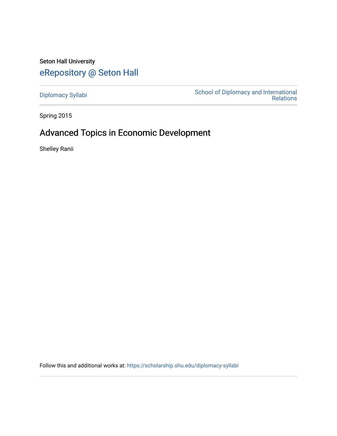Seton Hall University [eRepository @ Seton Hall](https://scholarship.shu.edu/)

[Diplomacy Syllabi](https://scholarship.shu.edu/diplomacy-syllabi) [School of Diplomacy and International](https://scholarship.shu.edu/diplomacy)  [Relations](https://scholarship.shu.edu/diplomacy) 

Spring 2015

# Advanced Topics in Economic Development

Shelley Ranii

Follow this and additional works at: [https://scholarship.shu.edu/diplomacy-syllabi](https://scholarship.shu.edu/diplomacy-syllabi?utm_source=scholarship.shu.edu%2Fdiplomacy-syllabi%2F600&utm_medium=PDF&utm_campaign=PDFCoverPages)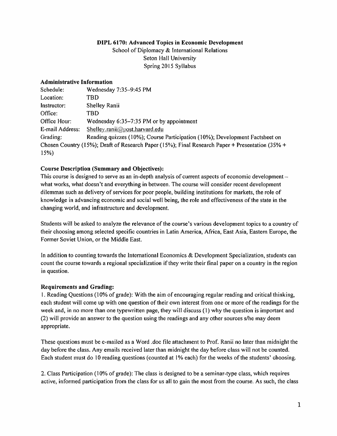# DIPL 6170: Advanced Topics in Economic Development

School of Diplomacy & International Relations Seton Hall University Spring 2015 Syllabus

#### Administrative Information

| Schedule:       | Wednesday 7:35-9:45 PM                                                                          |  |
|-----------------|-------------------------------------------------------------------------------------------------|--|
| Location:       | TBD                                                                                             |  |
| Instructor:     | Shelley Ranii                                                                                   |  |
| Office:         | TBD                                                                                             |  |
| Office Hour:    | Wednesday $6:35-7:35$ PM or by appointment                                                      |  |
| E-mail Address: | Shelley.ranii@post.harvard.edu                                                                  |  |
| Grading:        | Reading quizzes (10%); Course Participation (10%); Development Factsheet on                     |  |
|                 | Chosen Country (15%); Draft of Research Paper (15%); Final Research Paper + Presentation (35% + |  |
| 15%             |                                                                                                 |  |

# Course Description (Summary and Objectives):

This course is designed to serve as an in-depth analysis of current aspects of economic development $$ what works, what doesn't and everything in between. The course will consider recent development dilemmas such as delivery of services for poor people, building institutions for markets, the role of knowledge in advancing economic and social well being, the role and effectiveness of the state in the changing world, and infrastructure and development.

Students will be asked to analyze the relevance of the course's various development topics to <sup>a</sup> country of their choosing among selected specific countries in Latin America, Africa, East Asia, Eastern Europe, the Former Soviet Union, or the Middle East.

In addition to counting towards the International Economics  $\&$  Development Specialization, students can count the course towards <sup>a</sup> regional specialization if they write their final paper on <sup>a</sup> country in the region in question.

#### **Requirements and Grading:**

1. Reading Questions (10% of grade): With the aim of encouraging regular reading and critical thinking, each student will come up with one question of their own interest from one or more of the readings for the week and, in no more than one typewritten page, they will discuss (1) why the question is important and (2) will provide an answer to the question using the readings and any other sourcess/he may deem appropriate.

These questions must be e-mailed as <sup>a</sup> Word .doc file attachment to Prof. Ranii no later than midnight the day before the class. Any emails received later than midnight the day before class will not be counted. Each student must do 10 reading questions (counted at 1% each) for the weeks of the students' choosing.

2. Class Participation (10% of grade): The class is designed to be <sup>a</sup> seminar-type class, which requires active, informed participation from the class for us all to gain the most from the course. As such, the class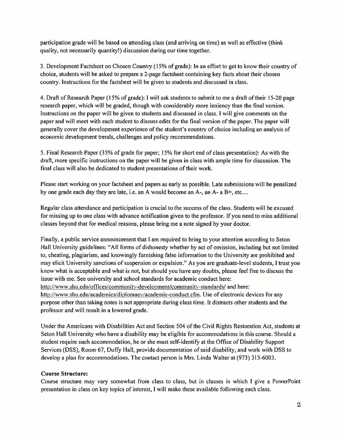participation grade will be based on attending class (and arriving on time) as well as effective (think quality, not necessarily quantity!) discussion during our time together.

3. Development Factsheet on Chosen Country (15% of grade): In an effort to ge<sup>t</sup> to know their country of choice, students will be asked to prepare a 2-page factsheet containing key facts about their chosen country. Instructions for the factsheet will be given to students and discussed in class.

4. Draft of Research Paper (15% of grade): I will ask students to submit to me <sup>a</sup> draft of their 15-20 page research paper, which will be graded, though with considerably more leniency than the final version. Instructions on the paper will be given to students and discussed in class. I will give comments on the paper and will meet with each student to discuss edits for the final version of the paper. The paper will generally cover the development experience of the student's country of choice including an analysis of economic development trends, challenges and policy recommendations.

5. Final Research Paper (35% of grade for paper; 15% for short end of class presentation): As with the draft, more specific instructions on the paper will be given in class with ample time for discussion. The final class will also be dedicated to student presentations of their work.

Please start working on your factsheet and papers as early as possible. Late submissions will be penalized by one grade each day they are late, i.e. an A would become an  $A_1$ , an  $A_2$  a  $B_1$ , etc....

Regular class attendance and participation is crucial to the success of the class. Students will be excused for missing up to one class with advance notification given to the professor. If you need to miss additional classes beyond that for medical reasons, <sup>p</sup>lease bring me <sup>a</sup> note signed by your doctor.

Finally, <sup>a</sup> public service announcement that I am required to bring to your attention according to Seton Hall University guidelines: "All forms of dishonesty whether by act of omission, including but not limited to, cheating, plagiarism, and knowingly furnishing false information to the University are prohibited and may elicit University sanctions of suspension or expulsion." As you are graduate-level students, I trust you know what is acceptable and what is not, but should you have any doubts, please feel free to discuss the issue with me. See university and school standards for academic conduct here: http://www.shu.edu/offices/communitv-development/communitv-standards/ and here: http://www.shu.edu/academics/diplomacv/academic-conduct.cfm. Use of electronic devices for any purpose other than taking notes is not appropriate during class time. It distracts other students and the professor and will result in <sup>a</sup> lowered grade.

Under the Americans with Disabilities Act and Section 504 of the Civil Rights Restoration Act, students at Seton Hall University who have <sup>a</sup> disability may be eligible for accommodations in this course. Should <sup>a</sup> student require such accommodation, he or she must self-identify at the Office of Disability Support Services (DSS), Room 67, Duffy Hall, provide documentation of said disability, and work with DSS to develop <sup>a</sup> plan for accommodations. The contact person is Mrs. Linda Walter at (973) 313-6003.

#### **Course Structure:**

Course structure may vary somewhat from class to class, but in classes in which I give <sup>a</sup> PowerPoint presentation in class on key topics of interest, I will make these available following each class.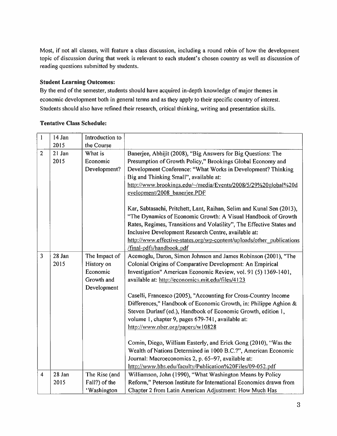Most, if not all classes, will feature <sup>a</sup> class discussion, including <sup>a</sup> round robin of how the development topic of discussion during that week is relevant to each student's chosen country as well as discussion of reading questions submitted by students.

# Student Learning Outcomes:

By the end of the semester, students should have acquired in-depth knowledge of major themes in economic development both in general terms and as they apply to their specific country of interest. Students should also have refined their research, critical thinking, writing and presentation skills.

| $\mathbf{1}$   | 14 Jan | Introduction to |                                                                       |
|----------------|--------|-----------------|-----------------------------------------------------------------------|
|                | 2015   | the Course      |                                                                       |
| $\overline{2}$ | 21 Jan | What is         | Banerjee, Abhijit (2008), "Big Answers for Big Questions: The         |
|                | 2015   | Economic        | Presumption of Growth Policy," Brookings Global Economy and           |
|                |        | Development?    | Development Conference: "What Works in Development? Thinking          |
|                |        |                 | Big and Thinking Small", available at:                                |
|                |        |                 | http://www.brookings.edu/~/media/Events/2008/5/29%20global%20d        |
|                |        |                 | evelopment/2008 banerjee.PDF                                          |
|                |        |                 |                                                                       |
|                |        |                 | Kar, Sabtasachi, Pritchett, Lant, Raihan, Selim and Kunal Sen (2013), |
|                |        |                 | "The Dynamics of Economic Growth: A Visual Handbook of Growth         |
|                |        |                 | Rates, Regimes, Transitions and Volatility", The Effective States and |
|                |        |                 | Inclusive Development Research Centre, available at:                  |
|                |        |                 | http://www.effective-states.org/wp-content/uploads/other publications |
|                |        |                 | /final-pdfs/handbook.pdf                                              |
| $\overline{3}$ | 28 Jan | The Impact of   | Acemoglu, Daron, Simon Johnson and James Robinson (2001), "The        |
|                | 2015   | History on      | Colonial Origins of Comparative Development: An Empirical             |
|                |        | Economic        | Investigation" American Economic Review, vol. 91 (5) 1369-1401,       |
|                |        | Growth and      | available at: http://economics.mit.edu/files/4123                     |
|                |        | Development     |                                                                       |
|                |        |                 | Caselli, Francesco (2005), "Accounting for Cross-Country Income       |
|                |        |                 | Differences," Handbook of Economic Growth, in: Philippe Aghion &      |
|                |        |                 | Steven Durlauf (ed.), Handbook of Economic Growth, edition 1,         |
|                |        |                 | volume 1, chapter 9, pages 679-741, available at:                     |
|                |        |                 | http://www.nber.org/papers/w10828                                     |
|                |        |                 | Comin, Diego, William Easterly, and Erick Gong (2010), "Was the       |
|                |        |                 | Wealth of Nations Determined in 1000 B.C.?", American Economic        |
|                |        |                 | Journal: Macroeconomics 2, p. 65-97, available at:                    |
|                |        |                 | http://www.hbs.edu/faculty/Publication%20Files/09-052.pdf             |
| 4              | 28 Jan | The Rise (and   | Williamson, John (1990), "What Washington Means by Policy             |
|                | 2015   | Fall?) of the   | Reform," Peterson Institute for International Economics drawn from    |
|                |        | 'Washington     | Chapter 2 from Latin American Adjustment: How Much Has                |

# Tentative Class Schedule: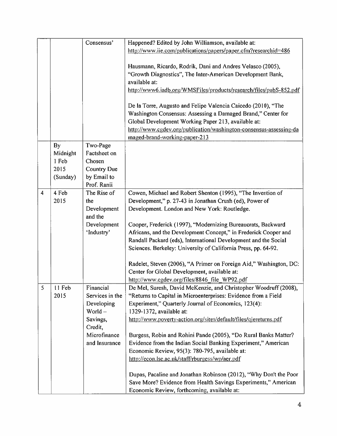|   |           | Consensus'         | Happened? Edited by John Williamson, available at:                 |
|---|-----------|--------------------|--------------------------------------------------------------------|
|   |           |                    | http://www.iie.com/publications/papers/paper.cfm?researchid=486    |
|   |           |                    |                                                                    |
|   |           |                    |                                                                    |
|   |           |                    | Hausmann, Ricardo, Rodrik, Dani and Andres Velasco (2005),         |
|   |           |                    | "Growth Diagnostics", The Inter-American Development Bank,         |
|   |           |                    | available at:                                                      |
|   |           |                    | http://www6.iadb.org/WMSFiles/products/research/files/pubS-852.pdf |
|   |           |                    |                                                                    |
|   |           |                    | De la Torre, Augusto and Felipe Valencia Caicedo (2010), "The      |
|   |           |                    | Washington Consensus: Assessing a Damaged Brand," Center for       |
|   |           |                    | Global Development Working Paper 213, available at:                |
|   |           |                    | http://www.cgdev.org/publication/washington-consensus-assessing-da |
|   |           |                    | maged-brand-working-paper-213                                      |
|   | <b>By</b> | Two-Page           |                                                                    |
|   | Midnight  | Factsheet on       |                                                                    |
|   | 1 Feb     | Chosen             |                                                                    |
|   | 2015      | <b>Country Due</b> |                                                                    |
|   | (Sunday)  | by Email to        |                                                                    |
|   |           | Prof. Ranii        |                                                                    |
|   |           |                    |                                                                    |
| 4 | 4 Feb     | The Rise of        | Cowen, Michael and Robert Shenton (1995), "The Invention of        |
|   | 2015      | the                | Development," p. 27-43 in Jonathan Crush (ed), Power of            |
|   |           | Development        | Development. London and New York: Routledge.                       |
|   |           | and the            |                                                                    |
|   |           | Development        | Cooper, Frederick (1997), "Modernizing Bureaucrats, Backward       |
|   |           | 'Industry'         | Africans, and the Development Concept," in Frederick Cooper and    |
|   |           |                    | Randall Packard (eds), International Development and the Social    |
|   |           |                    | Sciences. Berkeley: University of California Press, pp. 64-92.     |
|   |           |                    |                                                                    |
|   |           |                    | Radelet, Steven (2006), "A Primer on Foreign Aid," Washington, DC: |
|   |           |                    | Center for Global Development, available at:                       |
|   |           |                    | http://www.cgdev.org/files/8846 file WP92.pdf                      |
| 5 | 11 Feb    | Financial          | De Mel, Suresh, David McKenzie, and Christopher Woodruff (2008),   |
|   | 2015      | Services in the    | "Returns to Capital in Microenterprises: Evidence from a Field     |
|   |           | Developing         | Experiment," Quarterly Journal of Economics, 123(4):               |
|   |           | World $-$          | 1329-1372, available at:                                           |
|   |           | Savings,           | http://www.poverty-action.org/sites/default/files/qjereturns.pdf   |
|   |           | Credit,            |                                                                    |
|   |           | Microfinance       | Burgess, Robin and Rohini Pande (2005), "Do Rural Banks Matter?    |
|   |           | and Insurance      | Evidence from the Indian Social Banking Experiment," American      |
|   |           |                    | Economic Review, 95(3): 780-795, available at:                     |
|   |           |                    | http://econ.lse.ac.uk/staff/rburgess/wp/aer.pdf                    |
|   |           |                    |                                                                    |
|   |           |                    | Dupas, Pacaline and Jonathan Robinson (2012), "Why Don't the Poor  |
|   |           |                    |                                                                    |
|   |           |                    | Save More? Evidence from Health Savings Experiments," American     |
|   |           |                    | Economic Review, forthcoming, available at:                        |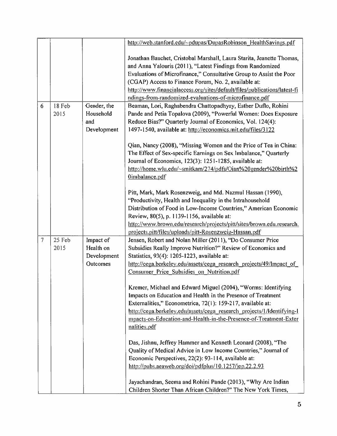|        |        |             | http://web.stanford.edu/~pdupas/DupasRobinson HealthSavings.pdf                                                   |
|--------|--------|-------------|-------------------------------------------------------------------------------------------------------------------|
|        |        |             | Jonathan Bauchet, Cristobal Marshall, Laura Starita, Jeanette Thomas,                                             |
|        |        |             | and Anna Yalouris (2011), "Latest Findings from Randomized                                                        |
|        |        |             | Evaluations of Microfinance," Consultative Group to Assist the Poor                                               |
|        |        |             | (CGAP) Access to Finance Forum, No. 2, available at:                                                              |
|        |        |             | http://www.financialaccess.org/sites/default/files/publications/latest-fi                                         |
|        |        |             | ndings-from-randomized-evaluations-of-microfinance.pdf                                                            |
| 6      | 18 Feb | Gender, the | Beaman, Lori, Raghabendra Chattopadhyay, Esther Duflo, Rohini                                                     |
|        | 2015   | Household   | Pande and Petia Topalova (2009), "Powerful Women: Does Exposure                                                   |
|        |        | and         | Reduce Bias?" Quarterly Journal of Economics, Vol. 124(4):                                                        |
|        |        | Development | 1497-1540, available at: http://economics.mit.edu/files/3122                                                      |
|        |        |             | Qian, Nancy (2008), "Missing Women and the Price of Tea in China:                                                 |
|        |        |             | The Effect of Sex-specific Earnings on Sex Imbalance," Quarterly                                                  |
|        |        |             | Journal of Economics, 123(3): 1251-1285, available at:                                                            |
|        |        |             | http://home.wlu.edu/~smitkam/274/pdfs/Qian%20gender%20birth%2                                                     |
|        |        |             | Oimbalance.pdf                                                                                                    |
|        |        |             | Pitt, Mark, Mark Rosenzweig, and Md. Nazmul Hassan (1990),                                                        |
|        |        |             | "Productivity, Health and Inequality in the Intrahousehold                                                        |
|        |        |             | Distribution of Food in Low-Income Countries," American Economic                                                  |
|        |        |             | Review, 80(5), p. 1139-1156, available at:                                                                        |
|        |        |             | http://www.brown.edu/research/projects/pitt/sites/brown.edu.research.                                             |
|        |        |             | projects.pitt/files/uploads/pitt-Rosenzweig-Hassan.pdf                                                            |
| $\tau$ | 25 Feb | Impact of   | Jensen, Robert and Nolan Miller (2011), "Do Consumer Price                                                        |
|        | 2015   | Health on   | Subsidies Really Improve Nutrition?" Review of Economics and                                                      |
|        |        | Development | Statistics, 93(4): 1205-1223, available at:                                                                       |
|        |        | Outcomes    | http://cega.berkeley.edu/assets/cega_research_projects/49/Impact_of_<br>Consumer Price Subsidies on Nutrition.pdf |
|        |        |             |                                                                                                                   |
|        |        |             | Kremer, Michael and Edward Miguel (2004), "Worms: Identifying                                                     |
|        |        |             | Impacts on Education and Health in the Presence of Treatment                                                      |
|        |        |             | Externalities," Econometrica, 72(1): 159-217, available at:                                                       |
|        |        |             | http://cega.berkeley.edu/assets/cega_research_projects/1/Identifying-1                                            |
|        |        |             | mpacts-on-Education-and-Health-in-the-Presence-of-Treatment-Exter                                                 |
|        |        |             | nalities.pdf                                                                                                      |
|        |        |             | Das, Jishnu, Jeffrey Hammer and Kenneth Leonard (2008), "The                                                      |
|        |        |             | Quality of Medical Advice in Low Income Countries," Journal of                                                    |
|        |        |             | Economic Perspectives, 22(2): 93-114, available at:                                                               |
|        |        |             | http://pubs.aeaweb.org/doi/pdfplus/10.1257/jep.22.2.93                                                            |
|        |        |             |                                                                                                                   |
|        |        |             | Jayachandran, Seema and Rohini Pande (2013), "Why Are Indian                                                      |
|        |        |             | Children Shorter Than African Children?" The New York Times,                                                      |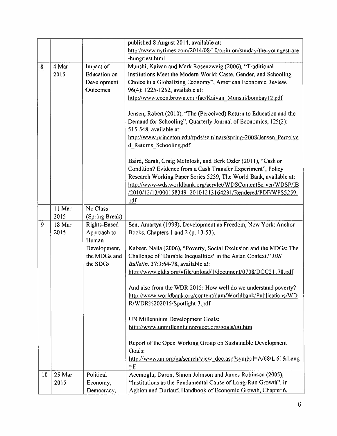| published 8 August 2014, available at:                                                          |  |
|-------------------------------------------------------------------------------------------------|--|
| http://www.nytimes.com/2014/08/10/opinion/sunday/the-youngest-are                               |  |
| -hungriest.html                                                                                 |  |
| Impact of<br>Munshi, Kaivan and Mark Rosenzweig (2006), "Traditional<br>8<br>4 Mar              |  |
| <b>Education</b> on<br>Institutions Meet the Modern World: Caste, Gender, and Schooling<br>2015 |  |
| Development<br>Choice in a Globalizing Economy", American Economic Review,                      |  |
| 96(4): 1225-1252, available at:<br>Outcomes                                                     |  |
| http://www.econ.brown.edu/fac/Kaivan Munshi/bombay12.pdf                                        |  |
| Jensen, Robert (2010), "The (Perceived) Return to Education and the                             |  |
| Demand for Schooling", Quarterly Journal of Economics, 125(2):                                  |  |
| 515-548, available at:                                                                          |  |
| http://www.princeton.edu/rpds/seminars/spring-2008/Jensen Perceive                              |  |
| d Returns Schooling.pdf                                                                         |  |
| Baird, Sarah, Craig McIntosh, and Berk Ozler (2011), "Cash or                                   |  |
| Condition? Evidence from a Cash Transfer Experiment", Policy                                    |  |
| Research Working Paper Series 5259, The World Bank, available at:                               |  |
| http://www-wds.worldbank.org/servlet/WDSContentServer/WDSP/IB                                   |  |
| /2010/12/13/000158349 20101213164231/Rendered/PDF/WPS5259.                                      |  |
| pdf                                                                                             |  |
| No Class<br>11 Mar                                                                              |  |
| 2015<br>(Spring Break)                                                                          |  |
| 9<br>18 Mar<br>Rights-Based<br>Sen, Amartya (1999), Development as Freedom, New York: Anchor    |  |
| Approach to<br>2015<br>Books. Chapters 1 and 2 (p. 13-53).                                      |  |
| Human                                                                                           |  |
| Development,<br>Kabeer, Naila (2006), "Poverty, Social Exclusion and the MDGs: The              |  |
| the MDGs and<br>Challenge of 'Durable Inequalities' in the Asian Context." IDS                  |  |
| the SDGs<br>Bulletin. 37:3:64-78, available at:                                                 |  |
| http://www.eldis.org/vfile/upload/1/document/0708/DOC21178.pdf                                  |  |
| And also from the WDR 2015: How well do we understand poverty?                                  |  |
| http://www.worldbank.org/content/dam/Worldbank/Publications/WD                                  |  |
| R/WDR%202015/Spotlight-3.pdf                                                                    |  |
| UN Millennium Development Goals:                                                                |  |
| http://www.unmillenniumproject.org/goals/gti.htm                                                |  |
| Report of the Open Working Group on Sustainable Development                                     |  |
| Goals:                                                                                          |  |
| http://www.un.org/ga/search/view_doc.asp?symbol=A/68/L.61⟪<br>$=E$                              |  |
| Political<br>25 Mar<br>Acemoglu, Daron, Simon Johnson and James Robinson (2005),<br>10          |  |
|                                                                                                 |  |
| "Institutions as the Fundamental Cause of Long-Run Growth", in<br>2015<br>Economy,              |  |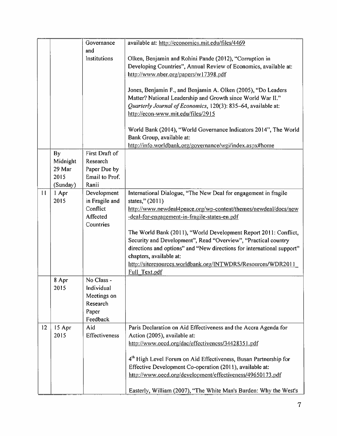|    |               | Governance                    | available at: http://economics.mit.edu/files/4469                                                                           |
|----|---------------|-------------------------------|-----------------------------------------------------------------------------------------------------------------------------|
|    |               | and                           |                                                                                                                             |
|    |               | Institutions                  | Olken, Benjamin and Rohini Pande (2012), "Corruption in<br>Developing Countries", Annual Review of Economics, available at: |
|    |               |                               | http://www.nber.org/papers/w17398.pdf                                                                                       |
|    |               |                               |                                                                                                                             |
|    |               |                               | Jones, Benjamin F., and Benjamin A. Olken (2005), "Do Leaders                                                               |
|    |               |                               | Matter? National Leadership and Growth since World War II."                                                                 |
|    |               |                               | Quarterly Journal of Economics, 120(3): 835-64, available at:                                                               |
|    |               |                               | http://econ-www.mit.edu/files/2915                                                                                          |
|    |               |                               |                                                                                                                             |
|    |               |                               | World Bank (2014), "World Governance Indicators 2014", The World<br>Bank Group, available at:                               |
|    |               |                               | http://info.worldbank.org/governance/wgi/index.aspx#home                                                                    |
|    | <b>By</b>     | First Draft of                |                                                                                                                             |
|    | Midnight      | Research                      |                                                                                                                             |
|    | 29 Mar        | Paper Due by                  |                                                                                                                             |
|    | 2015          | Email to Prof.                |                                                                                                                             |
|    | (Sunday)      | Ranii                         |                                                                                                                             |
| 11 | 1 Apr<br>2015 | Development<br>in Fragile and | International Dialogue, "The New Deal for engagement in fragile<br>states," (2011)                                          |
|    |               | Conflict                      | http://www.newdeal4peace.org/wp-content/themes/newdeal/docs/new                                                             |
|    |               | Affected                      | -deal-for-engagement-in-fragile-states-en.pdf                                                                               |
|    |               | Countries                     |                                                                                                                             |
|    |               |                               | The World Bank (2011), "World Development Report 2011: Conflict,                                                            |
|    |               |                               | Security and Development", Read "Overview", "Practical country                                                              |
|    |               |                               | directions and options" and "New directions for international support"                                                      |
|    |               |                               | chapters, available at:<br>http://siteresources.worldbank.org/INTWDRS/Resources/WDR2011                                     |
|    |               |                               | Full Text.pdf                                                                                                               |
|    | 8 Apr         | No Class -                    |                                                                                                                             |
|    | 2015          | Individual                    |                                                                                                                             |
|    |               | Meetings on                   |                                                                                                                             |
|    |               | Research                      |                                                                                                                             |
|    |               | Paper                         |                                                                                                                             |
| 12 | 15 Apr        | Feedback<br>Aid               | Paris Declaration on Aid Effectiveness and the Accra Agenda for                                                             |
|    | 2015          | <b>Effectiveness</b>          | Action (2005), available at:                                                                                                |
|    |               |                               | http://www.oecd.org/dac/effectiveness/34428351.pdf                                                                          |
|    |               |                               |                                                                                                                             |
|    |               |                               | 4 <sup>th</sup> High Level Forum on Aid Effectiveness, Busan Partnership for                                                |
|    |               |                               | Effective Development Co-operation (2011), available at:                                                                    |
|    |               |                               | http://www.oecd.org/development/effectiveness/49650173.pdf                                                                  |
|    |               |                               | Easterly, William (2007), "The White Man's Burden: Why the West's                                                           |
|    |               |                               |                                                                                                                             |